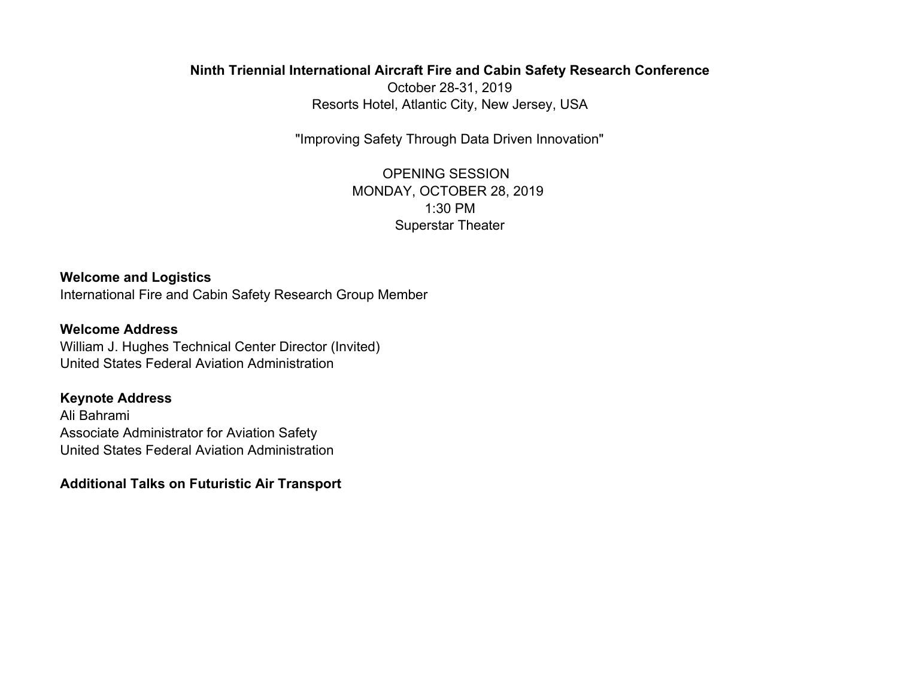## **Ninth Triennial International Aircraft Fire and Cabin Safety Research Conference**

October 28-31, 2019 Resorts Hotel, Atlantic City, New Jersey, USA

"Improving Safety Through Data Driven Innovation"

OPENING SESSION MONDAY, OCTOBER 28, 2019 1:30 PMSuperstar Theater

**Welcome and Logistics** International Fire and Cabin Safety Research Group Member

**Welcome Address**

William J. Hughes Technical Center Director (Invited) United States Federal Aviation Administration

## **Keynote Address**

Ali Bahrami Associate Administrator for Aviation Safety United States Federal Aviation Administration

## **Additional Talks on Futuristic Air Transport**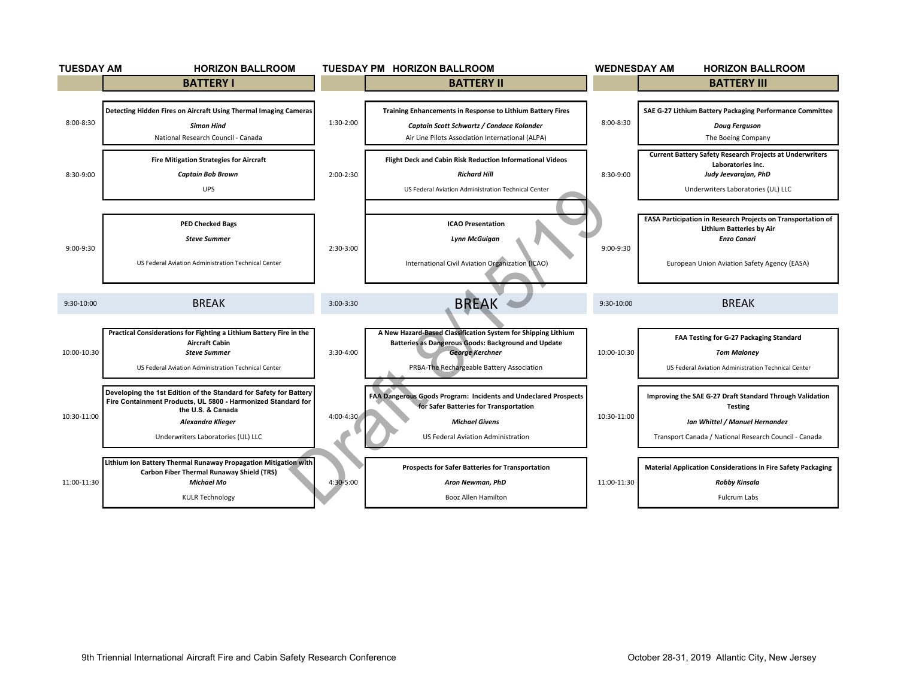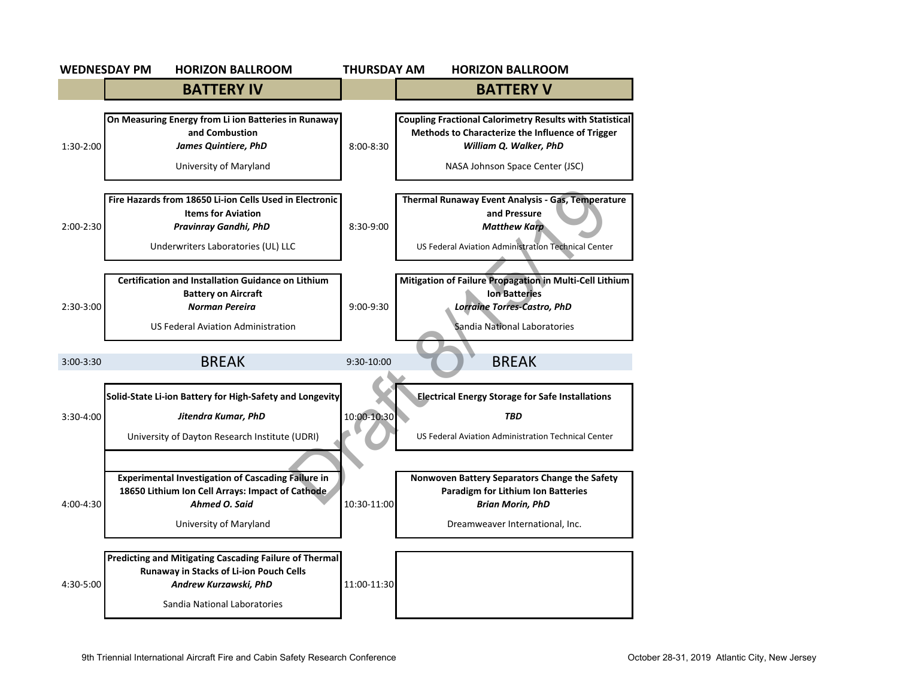|               | <b>WEDNESDAY PM</b><br><b>HORIZON BALLROOM</b>                                                                                                                    | THURSDAY AM   | <b>HORIZON BALLROOM</b>                                                                                                                                                          |
|---------------|-------------------------------------------------------------------------------------------------------------------------------------------------------------------|---------------|----------------------------------------------------------------------------------------------------------------------------------------------------------------------------------|
|               | <b>BATTERY IV</b>                                                                                                                                                 |               | <b>BATTERY V</b>                                                                                                                                                                 |
| 1:30-2:00     | On Measuring Energy from Li ion Batteries in Runaway<br>and Combustion<br><b>James Quintiere, PhD</b><br>University of Maryland                                   | $8:00 - 8:30$ | <b>Coupling Fractional Calorimetry Results with Statistical</b><br>Methods to Characterize the Influence of Trigger<br>William Q. Walker, PhD<br>NASA Johnson Space Center (JSC) |
| $2:00-2:30$   | Fire Hazards from 18650 Li-ion Cells Used in Electronic<br><b>Items for Aviation</b><br>Pravinray Gandhi, PhD<br>Underwriters Laboratories (UL) LLC               | 8:30-9:00     | Thermal Runaway Event Analysis - Gas, Temperature<br>and Pressure<br><b>Matthew Karp</b><br>US Federal Aviation Administration Technical Center                                  |
| 2:30-3:00     | <b>Certification and Installation Guidance on Lithium</b><br><b>Battery on Aircraft</b><br>Norman Pereira<br><b>US Federal Aviation Administration</b>            | $9:00-9:30$   | Mitigation of Failure Propagation in Multi-Cell Lithium<br><b>Ion Batteries</b><br>Lorraine Torres-Castro, PhD<br>Sandia National Laboratories                                   |
| $3:00 - 3:30$ | <b>BREAK</b>                                                                                                                                                      | 9:30-10:00    | <b>BREAK</b>                                                                                                                                                                     |
| 3:30-4:00     | Solid-State Li-ion Battery for High-Safety and Longevity<br>Jitendra Kumar, PhD<br>University of Dayton Research Institute (UDRI)                                 | 10:00-10:30   | <b>Electrical Energy Storage for Safe Installations</b><br><b>TBD</b><br>US Federal Aviation Administration Technical Center                                                     |
| 4:00-4:30     | <b>Experimental Investigation of Cascading Failure in</b><br>18650 Lithium Ion Cell Arrays: Impact of Cathode<br>Ahmed O. Said<br>University of Maryland          | 10:30-11:00   | Nonwoven Battery Separators Change the Safety<br><b>Paradigm for Lithium Ion Batteries</b><br><b>Brian Morin, PhD</b><br>Dreamweaver International, Inc.                         |
| 4:30-5:00     | <b>Predicting and Mitigating Cascading Failure of Thermal</b><br>Runaway in Stacks of Li-ion Pouch Cells<br>Andrew Kurzawski, PhD<br>Sandia National Laboratories | 11:00-11:30   |                                                                                                                                                                                  |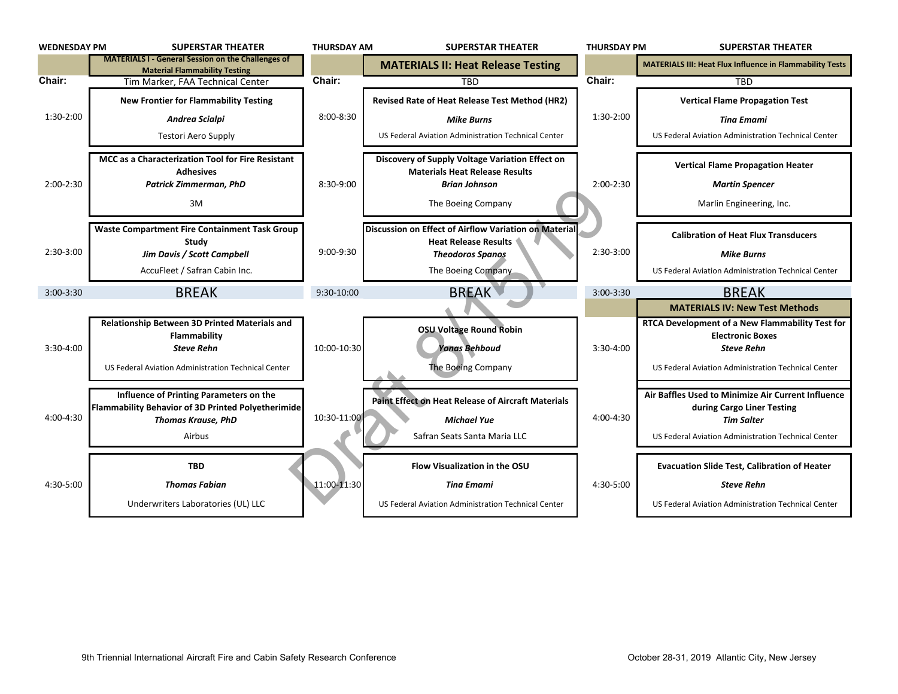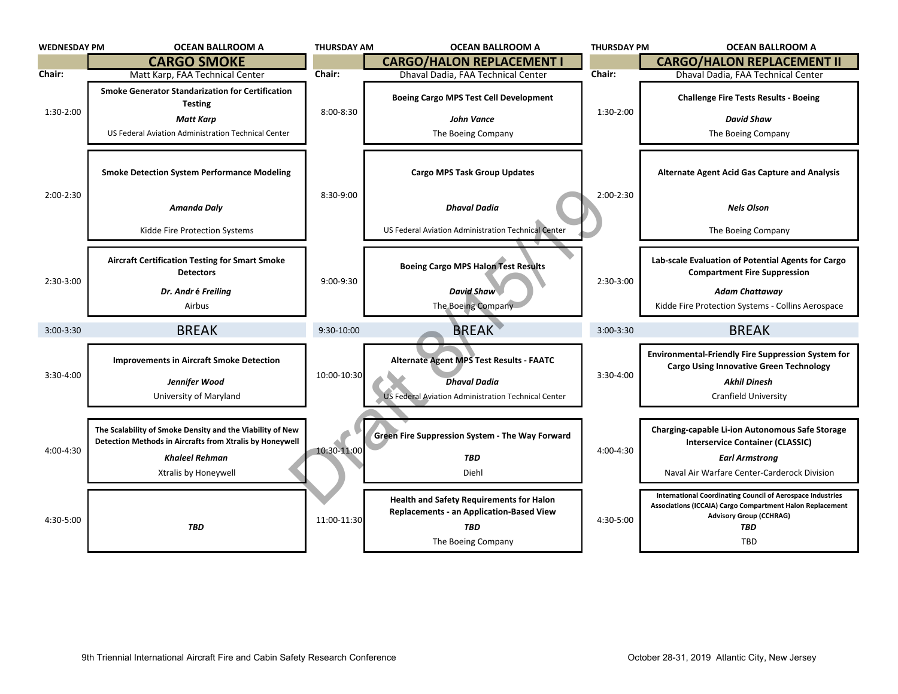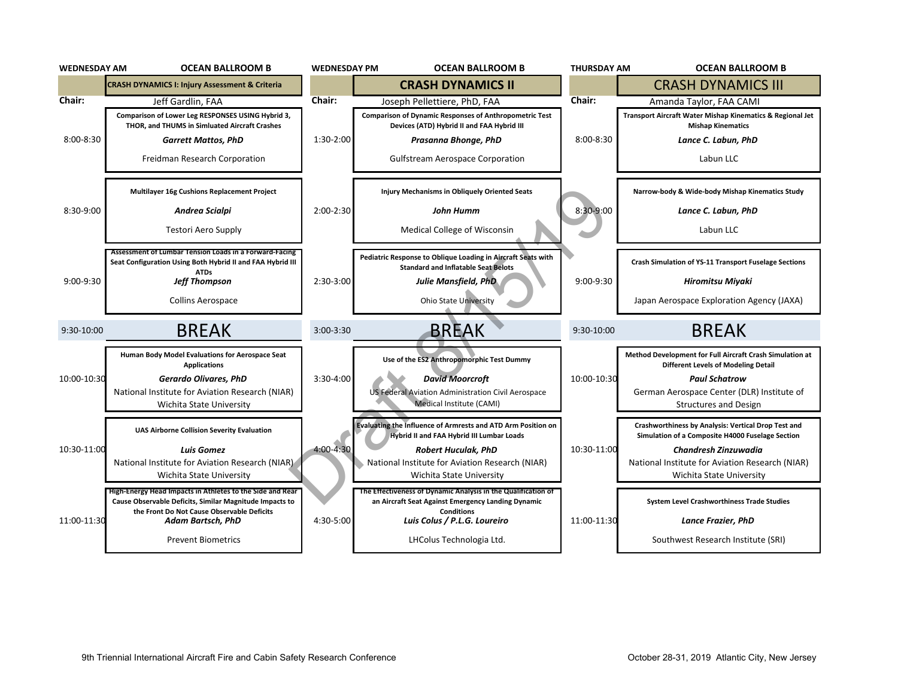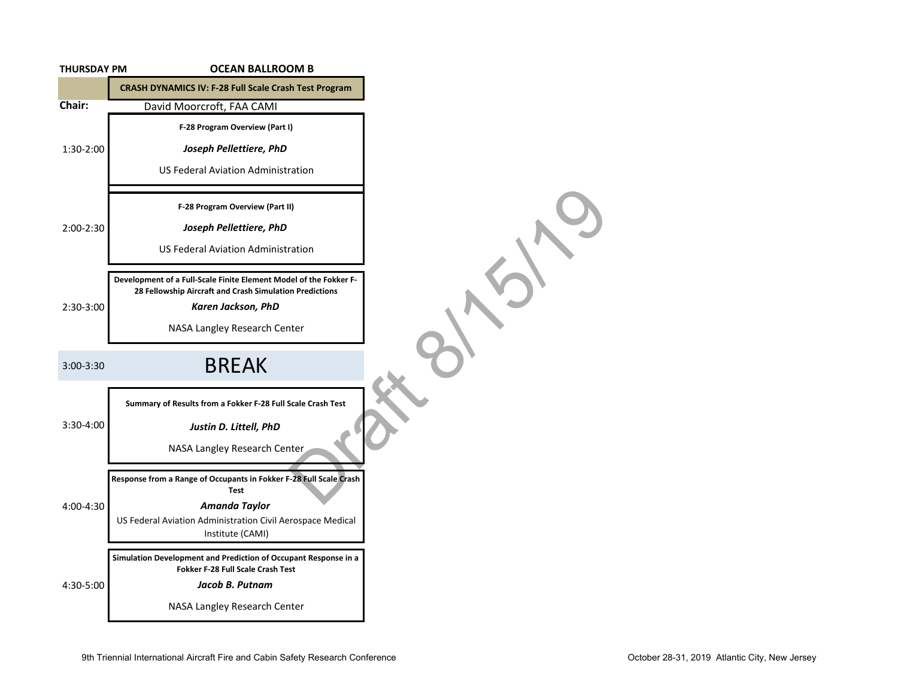| <b>THURSDAY PM</b> | <b>OCEAN BALLROOM B</b>                                                                                                                                                            |
|--------------------|------------------------------------------------------------------------------------------------------------------------------------------------------------------------------------|
|                    | <b>CRASH DYNAMICS IV: F-28 Full Scale Crash Test Program</b>                                                                                                                       |
| Chair:             | David Moorcroft, FAA CAMI                                                                                                                                                          |
|                    | F-28 Program Overview (Part I)                                                                                                                                                     |
| 1:30-2:00          | Joseph Pellettiere, PhD                                                                                                                                                            |
|                    | <b>US Federal Aviation Administration</b>                                                                                                                                          |
|                    | F-28 Program Overview (Part II)                                                                                                                                                    |
| 2:00-2:30          | Joseph Pellettiere, PhD                                                                                                                                                            |
|                    | <b>US Federal Aviation Administration</b>                                                                                                                                          |
| 2:30-3:00          | Development of a Full-Scale Finite Element Model of the Fokker F-<br>28 Fellowship Aircraft and Crash Simulation Predictions<br>Karen Jackson, PhD<br>NASA Langley Research Center |
| $3:00 - 3:30$      | <b>BREAK</b>                                                                                                                                                                       |
|                    | Summary of Results from a Fokker F-28 Full Scale Crash Test                                                                                                                        |
| 3:30-4:00          | Justin D. Littell, PhD                                                                                                                                                             |
|                    | NASA Langley Research Center                                                                                                                                                       |
|                    | Response from a Range of Occupants in Fokker F-28 Full Scale Crash<br><b>Test</b>                                                                                                  |
| 4:00-4:30          | Amanda Taylor                                                                                                                                                                      |
|                    | US Federal Aviation Administration Civil Aerospace Medical<br>Institute (CAMI)                                                                                                     |
|                    | Simulation Development and Prediction of Occupant Response in a<br>Fokker F-28 Full Scale Crash Test                                                                               |
| 4:30-5:00          | Jacob B. Putnam                                                                                                                                                                    |
|                    | NASA Langley Research Center                                                                                                                                                       |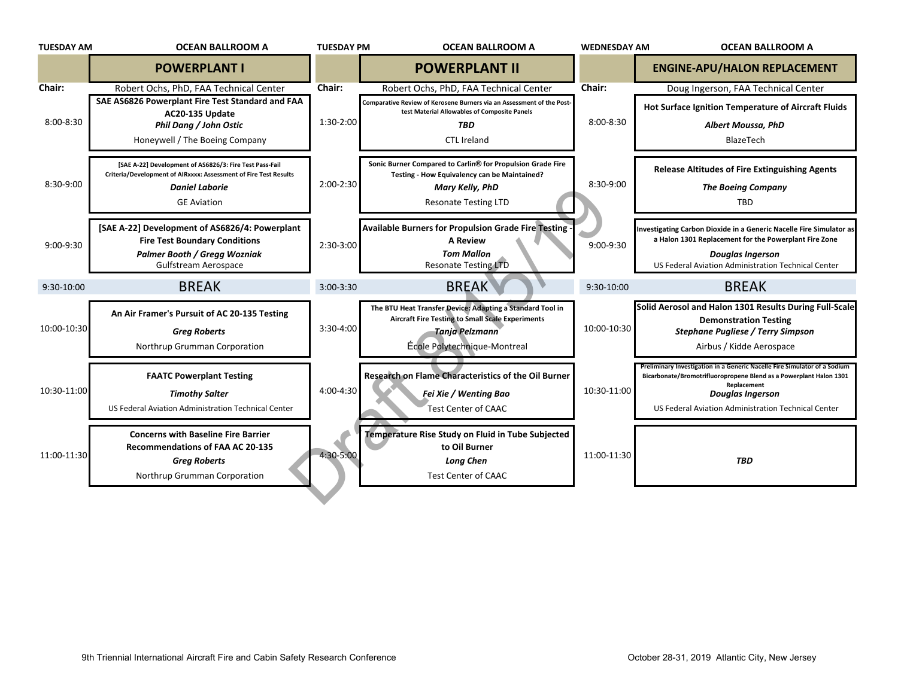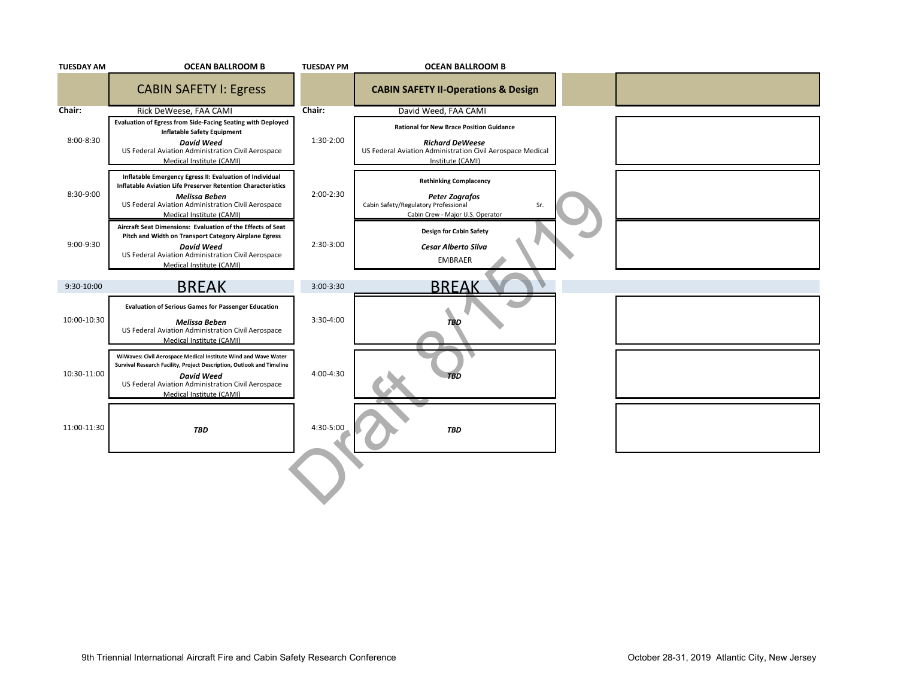| <b>TUESDAY AM</b> | <b>OCEAN BALLROOM B</b>                                                                                                                                                                                                                        | <b>TUESDAY PM</b> | <b>OCEAN BALLROOM B</b>                                                                                                                                     |  |
|-------------------|------------------------------------------------------------------------------------------------------------------------------------------------------------------------------------------------------------------------------------------------|-------------------|-------------------------------------------------------------------------------------------------------------------------------------------------------------|--|
|                   | <b>CABIN SAFETY I: Egress</b>                                                                                                                                                                                                                  |                   | <b>CABIN SAFETY II-Operations &amp; Design</b>                                                                                                              |  |
| Chair:            | Rick DeWeese, FAA CAMI                                                                                                                                                                                                                         | Chair:            | David Weed, FAA CAMI                                                                                                                                        |  |
| 8:00-8:30         | Evaluation of Egress from Side-Facing Seating with Deployed<br><b>Inflatable Safety Equipment</b><br><b>David Weed</b><br>US Federal Aviation Administration Civil Aerospace<br>Medical Institute (CAMI)                                       | 1:30-2:00         | <b>Rational for New Brace Position Guidance</b><br><b>Richard DeWeese</b><br>US Federal Aviation Administration Civil Aerospace Medical<br>Institute (CAMI) |  |
| 8:30-9:00         | Inflatable Emergency Egress II: Evaluation of Individual<br>Inflatable Aviation Life Preserver Retention Characteristics<br>Melissa Beben<br>US Federal Aviation Administration Civil Aerospace<br>Medical Institute (CAMI)                    | 2:00-2:30         | <b>Rethinking Complacency</b><br><b>Peter Zografos</b><br>Cabin Safety/Regulatory Professional<br>Sr.<br>Cabin Crew - Major U.S. Operator                   |  |
| 9:00-9:30         | Aircraft Seat Dimensions: Evaluation of the Effects of Seat<br>Pitch and Width on Transport Category Airplane Egress<br><b>David Weed</b><br>US Federal Aviation Administration Civil Aerospace<br>Medical Institute (CAMI)                    | 2:30-3:00         | Design for Cabin Safety<br>Cesar Alberto Silva<br><b>EMBRAER</b>                                                                                            |  |
| 9:30-10:00        | <b>BREAK</b>                                                                                                                                                                                                                                   | $3:00-3:30$       | <b>BREAK</b>                                                                                                                                                |  |
| 10:00-10:30       | <b>Evaluation of Serious Games for Passenger Education</b><br>Melissa Beben<br>US Federal Aviation Administration Civil Aerospace<br>Medical Institute (CAMI)                                                                                  | 3:30-4:00         | <b>TBD</b>                                                                                                                                                  |  |
| 10:30-11:00       | WiWaves: Civil Aerospace Medical Institute Wind and Wave Water<br>Survival Research Facility, Project Description, Outlook and Timeline<br><b>David Weed</b><br>US Federal Aviation Administration Civil Aerospace<br>Medical Institute (CAMI) | 4:00-4:30         |                                                                                                                                                             |  |
| 11:00-11:30       | <b>TBD</b>                                                                                                                                                                                                                                     | 4:30-5:00         | <b>TBD</b>                                                                                                                                                  |  |
|                   |                                                                                                                                                                                                                                                |                   |                                                                                                                                                             |  |